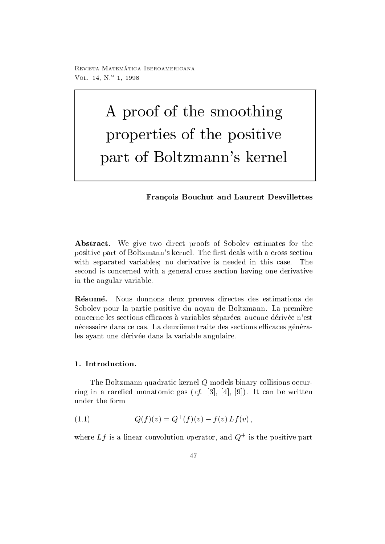reprisonal matematica - abbateonimbat ontara VOL  $14, N^{\circ}$  1, 1998

# A proof of the smoothing properties of the positive part of Boltzmann-s kernel

# Fran-cois Bouchut and Laurent Desvillettes

Abstract. We give two direct proofs of Sobolev estimates for the positive part of Boltzmann-s kernel The rst deals with a cross section with separated variables; no derivative is needed in this case. The second is concerned with a general cross section having one derivative in the angular variable

Résumé. Nous donnons deux preuves directes des estimations de Sobolev pour la partie positive du noyau de Boltzmann La premiere concerne les sections ecaces a variables separees aucune derivee n-est nécessaire dans ce cas. La deuxième traite des sections efficaces générales ayant une dérivée dans la variable angulaire.

# 1. Introduction.

The Boltzmann quadratic kernel  $Q$  models binary collisions occurring in a rare for monatomic gas (e). It can be written when the contract of the contract of the contract of t under the form

(1.1) 
$$
Q(f)(v) = Q^+(f)(v) - f(v) Lf(v),
$$

where  $L_f$  is a linear convolution operator, and  $Q^+$  is the positive part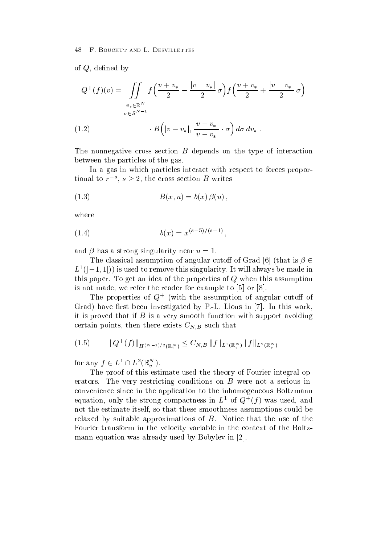of  $Q$ , defined by

$$
Q^{+}(f)(v) = \iint_{\substack{v_* \in \mathbb{R}^N \\ \sigma \in S^{N-1}}} f\left(\frac{v + v_*}{2} - \frac{|v - v_*|}{2}\sigma\right) f\left(\frac{v + v_*}{2} + \frac{|v - v_*|}{2}\sigma\right)
$$
  
(1.2) 
$$
B\left(|v - v_*|, \frac{v - v_*}{|v - v_*|} \cdot \sigma\right) d\sigma dv_*.
$$

The nonnegative cross section  $B$  depends on the type of interaction between the particles of the gas

In a gas in which particles interact with respect to forces propor tional to  $r^{-s}$ ,  $s \geq 2$ , the cross section B writes

$$
(1.3) \t B(x, u) = b(x) \beta(u),
$$

where

$$
(1.4) \t\t b(x) = x^{(s-5)/(s-1)},
$$

and  $\beta$  has a strong singularity near  $u=1$ .

The classical assumption of angular cutoff of Grad [6] (that is  $\beta \in$  $L$  ( $[-1,1]$ ) is used to remove this singularity. It will always be made in this paper. To get an idea of the properties of  $Q$  when this assumption is not made, we refer the reader for example to  $[5]$  or  $[8]$ .

The properties of Q and the assumption of angular cuton of Grad) have first been investigated by P.-L. Lions in  $[7]$ . In this work, it is proved that if  $B$  is a very smooth function with support avoiding certain points, then there exists  $C_{N,B}$  such that

$$
(1.5) \t ||Q^+(f)||_{\dot{H}^{(N-1)/2}(\mathbb{R}^N_v)} \leq C_{N,B} \|f\|_{L^1(\mathbb{R}^N_v)} \|f\|_{L^2(\mathbb{R}^N_v)}
$$

for any  $f \in L^1 \cap L^2(\mathbb{R}_v^N)$ .

The proof of this estimate used the theory of Fourier integral op erators. The very restricting conditions on  $B$  were not a serious inconvenience since in the application to the inhomogeneous Boltzmann equation, only the strong compactness in  $L^-$  of  $Q^+(I)$  was used, and not the estimate itself, so that these smoothness assumptions could be relaxed by suitable approximations of  $B$ . Notice that the use of the Fourier transform in the velocity variable in the context of the Boltzmann equation was already used by Bobylev in [2].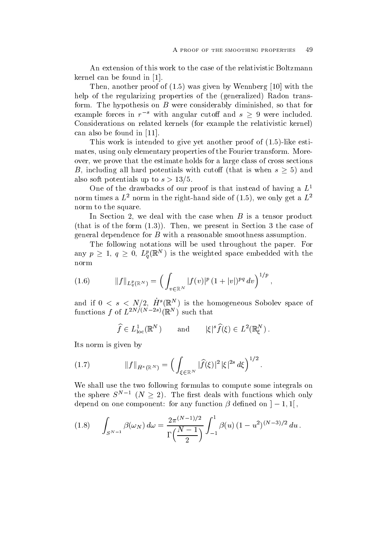An extension of this work to the case of the relativistic Boltzmann kernel can be found in  $[1]$ .

Then another proof of was given by Wennberg with the help of the regularizing properties of the generalized Radon trans form. The hypothesis on  $B$  were considerably diminished, so that for example forces in  $r^{-s}$  with angular cutoff and  $s \geq 9$  were included. Considerations on related kernels for example the relativistic kernel can also be found in

 $\mathbf{N}$  is work is the proof of  $\mathbf{N}$  is a set another proof of of of  $\mathbf{N}$  is a set another proof of  $\mathbf{N}$  is a set of  $\mathbf{N}$  is a set of  $\mathbf{N}$  is a set of  $\mathbf{N}$  is a set of  $\mathbf{N}$  is a set of  $\mathbf{N}$ mates, using only elementary properties of the Fourier transform. Moreover, we prove that the estimate holds for a large class of cross sections B, including all hard potentials with cutoff (that is when  $s \geq 5$ ) and also soft potentials up to  $s > 13/5$ .

One of the drawbacks of our proof is that instead of having a  $L^1$ florm times a  $L$  -horm in the right-hand side of (1.5), we only get a  $L$ norm to the square.

In Section 2, we deal with the case when  $B$  is a tensor product  $\mathbf{r}$  is of the form we present in Section 2 and  $\mathbf{r}$ general dependence for  $B$  with a reasonable smoothness assumption.

The following notations will be used throughout the paper. For any  $p \geq 1, q \geq 0, L_q^p(\mathbb{R}^N)$  is the weighted space embedded with the norm

(1.6) 
$$
||f||_{L_q^p(\mathbb{R}^N)} = \left(\int_{v \in \mathbb{R}^N} |f(v)|^p (1+|v|)^{pq} dv\right)^{1/p},
$$

and if  $0 \leq s \leq N/2$ ,  $\pi$  ( $\mathbb{R}$ ) is the homogeneous Sobolev space of functions f of  $L^{++}$ .  $\cdots$   $\cdots$  ( $\mathbb{R}^{+}$ ) such that

$$
\widehat{f} \in L^1_{\text{loc}}(\mathbb{R}^N)
$$
 and  $|\xi|^s \widehat{f}(\xi) \in L^2(\mathbb{R}^N_{\xi}).$ 

Its norm is given by

(1.7) 
$$
||f||_{\dot{H}^{s}(\mathbb{R}^{N})} = \left(\int_{\xi \in \mathbb{R}^{N}} |\widehat{f}(\xi)|^{2} |\xi|^{2s} d\xi\right)^{1/2}.
$$

We shall use the two following formulas to compute some integrals on the sphere  $S^{N-1}$   $(N \geq 2)$ . The first deals with functions which only depend on one component. Tor any function  $\rho$  denned on  $\rho = 1, 1 \rvert$ ,

$$
(1.8) \qquad \int_{S^{N-1}} \beta(\omega_N) \, d\omega = \frac{2\pi^{(N-1)/2}}{\Gamma\left(\frac{N-1}{2}\right)} \int_{-1}^1 \beta(u) \, (1-u^2)^{(N-3)/2} \, du \, .
$$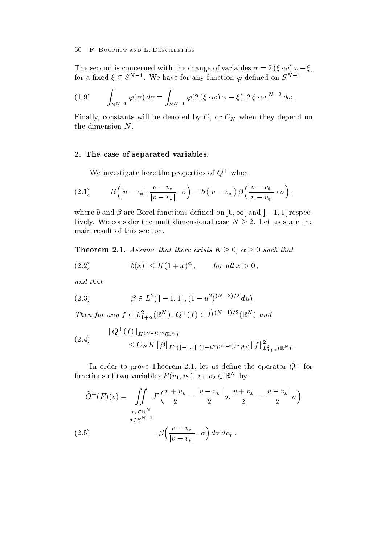The second is concerned with the change of variables  $\sigma = 2(\zeta \cdot \omega) \omega - \zeta$ , for a fixed  $\xi \in S^{N-1}$ . We have for any function  $\varphi$  defined on  $S^{N-1}$ 

$$
(1.9) \qquad \int_{S^{N-1}} \varphi(\sigma) d\sigma = \int_{S^{N-1}} \varphi(2(\xi \cdot \omega) \omega - \xi) |2 \xi \cdot \omega|^{N-2} d\omega.
$$

Finally, constants will be denoted by  $C$ , or  $C<sub>N</sub>$  when they depend on the dimension N

# 2. The case of separated variables.

We investigate here the properties of  $Q^+$  when

(2.1) 
$$
B\left(|v-v_*|,\frac{v-v_*}{|v-v_*|}\cdot\sigma\right)=b\left(|v-v_*|\right)\beta\left(\frac{v-v_*}{|v-v_*|}\cdot\sigma\right),
$$

where b and  $\beta$  are Borel functions defined on  $[0,\infty]$  and  $[-1,1]$  respectively. We consider the multidimensional case  $N \geq 2$ . Let us state the main result of this section

**Theorem 2.1.** Assume that there exists  $K \geq 0$ ,  $\alpha \geq 0$  such that

$$
(2.2) \t\t\t |b(x)| \le K(1+x)^\alpha, \t\t for all x > 0,
$$

and that

(2.3) 
$$
\beta \in L^{2}([-1, 1], (1 - u^{2})^{(N-3)/2} du).
$$

Then for any  $f \in L^2_{1+\alpha}(\mathbb{R}^N)$ ,  $Q^{\top}(f) \in H^{(N-1)/2}(\mathbb{R}^N)$  and

$$
(2.4) \t\t ||Q^+(f)||_{\dot{H}^{(N-1)/2}(\mathbb{R}^N)}\leq C_N K ||\beta||_{L^2(]-1,1[,(1-u^2)^{(N-3)/2} du)} ||f||^2_{L^2_{1+\alpha}(\mathbb{R}^N)}.
$$

In order to prove Theorem 2.1, let us define the operator  $Q^+$  for functions of two variables  $F(v_1, v_2), v_1, v_2 \in \mathbb{R}^N$  by

$$
\widetilde{Q}^+(F)(v) = \iint\limits_{\substack{v_* \in \mathbb{R}^N \\ \sigma \in S^{N-1}}} F\left(\frac{v+v_*}{2} - \frac{|v-v_*|}{2}\sigma, \frac{v+v_*}{2} + \frac{|v-v_*|}{2}\sigma\right)
$$
\n
$$
(2.5) \qquad \qquad \cdot \beta\left(\frac{v-v_*}{|v-v_*|} \cdot \sigma\right) d\sigma \, dv_* \; .
$$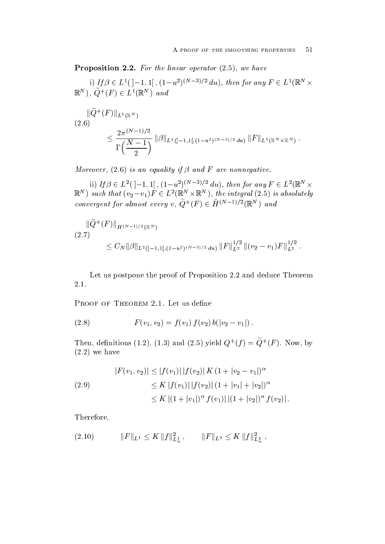Proposition For the linear operator we have

1) If  $\beta \in L^1([-1, 1], (1-u^2)^{(N-3)/2} du)$ , then for any  $F \in L^1(\mathbb{R}^N \times$  $\mathbb{R}^N$ ),  $Q^+(F) \in L^1(\mathbb{R}^N)$  and

$$
||\widetilde{Q}^{+}(F)||_{L^{1}(\mathbb{R}^{N})}
$$
\n
$$
\leq \frac{2\pi^{(N-1)/2}}{\Gamma(\frac{N-1}{2})} ||\beta||_{L^{1}([-1,1],(1-u^{2})^{(N-3)/2} du)} ||F||_{L^{1}(\mathbb{R}^{N}\times\mathbb{R}^{N})}.
$$

more an equality if the state of an and F are non-stated and for an are non-

 $\lim_{t \to \infty} \int_{0}^{t} |f(x)|^{2} dx \leq C \lim_{t \to \infty} \lim_{t \to \infty} \lim_{t \to \infty} \lim_{t \to \infty} \lim_{t \to \infty} \lim_{t \to \infty} \lim_{t \to \infty} \lim_{t \to \infty} \lim_{t \to \infty} \lim_{t \to \infty} \lim_{t \to \infty} \lim_{t \to \infty} \lim_{t \to \infty} \lim_{t \to \infty} \lim_{t \to \infty} \lim_{t \to \infty} \lim_{t \to \infty} \lim_{t \to \infty} \lim_{t \to \infty}$  $\mathbb{R}^N$ ) such that  $(v_2-v_1)F \in L^2(\mathbb{R}^N \times \mathbb{R}^N)$ , the integral (2.5) is absolutely convergent for almost every v,  $Q^{\top}(F) \in H^{(N-1)/2}(\mathbb{R}^N)$  and

$$
\|\tilde{Q}^{+}(F)\|_{\dot{H}^{(N-1)/2}(\mathbb{R}^{N})}
$$
\n
$$
(2.7) \leq C_{N} \|\beta\|_{L^{2}([-1,1],(1-u^{2})^{(N-3)/2}du)} \|F\|_{L^{2}}^{1/2} \|(v_{2}-v_{1})F\|_{L^{2}}^{1/2}.
$$

Let us postpone the proof of Proposition 2.2 and deduce Theorem  $2.1.$ 

(2.8) 
$$
F(v_1, v_2) = f(v_1) f(v_2) b(|v_2 - v_1|).
$$

I hen, demitions (1.2), (1.5) and (2.5) yield  $Q^+(I) \equiv Q^+(I)$ . Now, by we have have the contract of  $\mathbf{r}$ 

$$
|F(v_1, v_2)| \le |f(v_1)| |f(v_2)| K (1 + |v_2 - v_1|)^{\alpha}
$$
  
\n
$$
\le K |f(v_1)| |f(v_2)| (1 + |v_1| + |v_2|)^{\alpha}
$$
  
\n
$$
\le K |(1 + |v_1|)^{\alpha} f(v_1)| |(1 + |v_2|)^{\alpha} f(v_2)|.
$$

Therefore

$$
(2.10) \t\t\t ||F||_{L^{1}} \leq K \, ||f||_{L^{1}_{\alpha}}^{2}, \t\t\t ||F||_{L^{2}} \leq K \, ||f||_{L^{2}_{\alpha}}^{2},
$$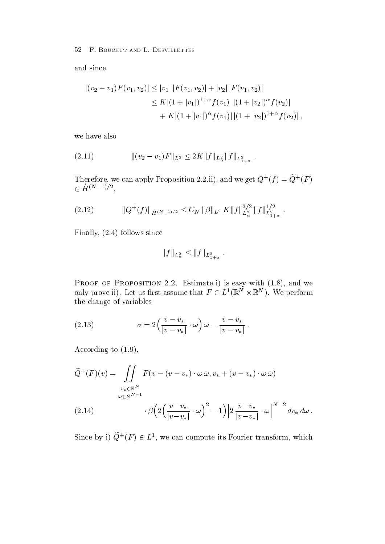and since

$$
|(v_2 - v_1)F(v_1, v_2)| \le |v_1| |F(v_1, v_2)| + |v_2| |F(v_1, v_2)|
$$
  
\n
$$
\le K |(1 + |v_1|)^{1+\alpha} f(v_1) | |(1 + |v_2|)^{\alpha} f(v_2)|
$$
  
\n
$$
+ K |(1 + |v_1|)^{\alpha} f(v_1) | |(1 + |v_2|)^{1+\alpha} f(v_2)|,
$$

we have also

 k v vF kL Kkf kL kf kL 

Therefore, we can apply Proposition 2.2.11), and we get  $Q^+(f) = Q^+(F)$ <br>  $\in \dot{H}^{(N-1)/2}$ ,

$$
(2.12) \t\t ||Q^+(f)||_{\dot{H}^{(N-1)/2}} \leq C_N ||\beta||_{L^2} K ||f||_{L^2_{\alpha}}^{3/2} ||f||_{L^2_{1+\alpha}}^{1/2}.
$$

Finally follows since

$$
||f||_{L^2_{\alpha}} \leq ||f||_{L^2_{1+\alpha}}.
$$

only prove ii). Let us first assume that  $F \in L^1(\mathbb{R}^N \times \mathbb{R}^N)$ . We perform the change of variables

(2.13) 
$$
\sigma = 2\left(\frac{v-v_*}{|v-v_*|}\cdot\omega\right)\omega - \frac{v-v_*}{|v-v_*|}.
$$

 $\mathcal{A}$  and  $\mathcal{A}$  and  $\mathcal{A}$  and  $\mathcal{A}$  and  $\mathcal{A}$  and  $\mathcal{A}$  and  $\mathcal{A}$  and  $\mathcal{A}$  and  $\mathcal{A}$  and  $\mathcal{A}$  and  $\mathcal{A}$  and  $\mathcal{A}$  and  $\mathcal{A}$  and  $\mathcal{A}$  and  $\mathcal{A}$  and  $\mathcal{A}$  and  $\mathcal{A}$  and

$$
\widetilde{Q}^+(F)(v) = \iint\limits_{v_* \in \mathbb{R}^N} F(v - (v - v_*) \cdot \omega \omega, v_* + (v - v_*) \cdot \omega \omega)
$$
  

$$
\omega \in S^{N-1}
$$
  
(2.14) 
$$
\beta \left( 2 \left( \frac{v - v_*}{|v - v_*|} \cdot \omega \right)^2 - 1 \right) \left| 2 \frac{v - v_*}{|v - v_*|} \cdot \omega \right|^{N-2} dv_* d\omega.
$$

Since by i)  $Q^+(F) \in L^1$ , we can compute its Fourier transform, which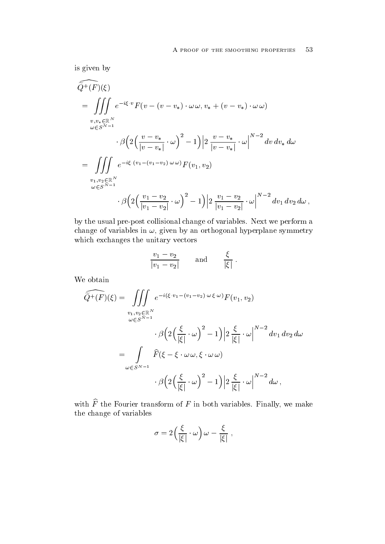is given by

$$
\widetilde{Q}^{+}(F)(\xi) \n= \iiint_{v,v_{*} \in \mathbb{R}^{N}} e^{-i\xi \cdot v} F(v - (v - v_{*}) \cdot \omega \omega, v_{*} + (v - v_{*}) \cdot \omega \omega) \n v_{*} v_{*} \in \mathbb{R}^{N} \n\cdot \beta \Big( 2 \Big( \frac{v - v_{*}}{|v - v_{*}|} \cdot \omega \Big)^{2} - 1 \Big) \Big| 2 \frac{v - v_{*}}{|v - v_{*}|} \cdot \omega \Big|^{N-2} dv dv_{*} d\omega \n= \iiint_{v_{1},v_{2} \in \mathbb{R}^{N} \n\omega \in S^{N-1} \n\cdot \beta \Big( 2 \Big( \frac{v_{1} - v_{2}}{|v_{1} - v_{2}|} \cdot \omega \Big)^{2} - 1 \Big) \Big| 2 \frac{v_{1} - v_{2}}{|v_{1} - v_{2}|} \cdot \omega \Big|^{N-2} dv_{1} dv_{2} d\omega,
$$

by the usual pre-post collisional change of variables. Next we perform a change of variables in given by an orthogonal hyperplane symmetry. which exchanges the unitary vectors

$$
\frac{v_1 - v_2}{|v_1 - v_2|}
$$
 and  $\frac{\xi}{|\xi|}$ .

We obtain

$$
\widehat{Q^+(F)}(\xi) = \iiint_{\omega \in S^{N-1}} e^{-i(\xi \cdot v_1 - (v_1 - v_2) \cdot \omega \cdot \xi \cdot \omega)} F(v_1, v_2)
$$
  

$$
\cdot \beta \left( 2 \left( \frac{\xi}{|\xi|} \cdot \omega \right)^2 - 1 \right) \left| 2 \frac{\xi}{|\xi|} \cdot \omega \right|^{N-2} dv_1 dv_2 d\omega
$$
  

$$
= \int_{\omega \in S^{N-1}} \widehat{F}(\xi - \xi \cdot \omega \omega, \xi \cdot \omega \omega)
$$
  

$$
\cdot \beta \left( 2 \left( \frac{\xi}{|\xi|} \cdot \omega \right)^2 - 1 \right) \left| 2 \frac{\xi}{|\xi|} \cdot \omega \right|^{N-2} d\omega,
$$

with  $\widehat{F}$  the Fourier transform of F in both variables. Finally, we make the change of variables

$$
\sigma = 2\left(\frac{\xi}{|\xi|}\cdot\omega\right)\omega - \frac{\xi}{|\xi|},
$$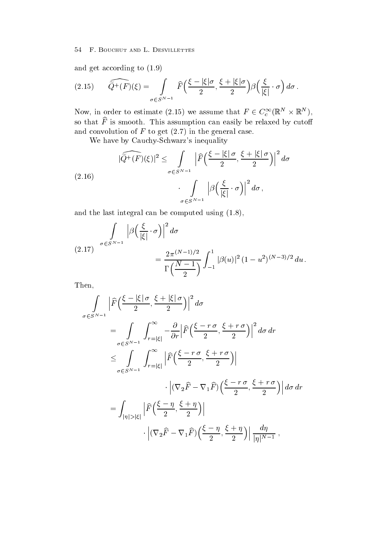and get according to the cordinate  $\alpha$ 

(2.15) 
$$
\widehat{Q^+(F)}(\xi) = \int_{\sigma \in S^{N-1}} \widehat{F}\left(\frac{\xi - |\xi|\sigma}{2}, \frac{\xi + |\xi|\sigma}{2}\right) \beta\left(\frac{\xi}{|\xi|} \cdot \sigma\right) d\sigma.
$$

Now, in order to estimate (2.15) we assume that  $F \in C_c^{\infty}(\mathbb{R}^N \times \mathbb{R}^N)$ , so that F-is smooth. This assumption can easily be relaxed by cuton and convolution of  $\alpha$  is get (Fig. ) and the general case of  $\alpha$ 

we have by Cauchy in the second control of the second control of the second control of the second control of the second control of the second control of the second control of the second control of the second control of the

(2.16)  

$$
|\widehat{Q}^+(F)(\xi)|^2 \leq \int_{\sigma \in S^{N-1}} \left| \widehat{F}\left(\frac{\xi - |\xi|\sigma}{2}, \frac{\xi + |\xi|\sigma}{2}\right) \right|^2 d\sigma
$$

$$
\int_{\sigma \in S^{N-1}} \left| \beta \left(\frac{\xi}{|\xi|} \cdot \sigma \right) \right|^2 d\sigma,
$$

and the last integral can be computed using using using using using using  $\mathbf{u}$ 

$$
(2.17) \quad \int_{\sigma \in S^{N-1}} \left| \beta \left( \frac{\xi}{|\xi|} \cdot \sigma \right) \right|^2 d\sigma
$$
\n
$$
= \frac{2\pi^{(N-1)/2}}{\Gamma \left( \frac{N-1}{2} \right)} \int_{-1}^{1} |\beta(u)|^2 (1 - u^2)^{(N-3)/2} du.
$$

Then

$$
\int_{\sigma \in S^{N-1}} \left| \widehat{F}\left(\frac{\xi - |\xi| \sigma}{2}, \frac{\xi + |\xi| \sigma}{2}\right) \right|^2 d\sigma
$$
\n
$$
= \int_{\sigma \in S^{N-1}} \int_{r=|\xi|}^{\infty} -\frac{\partial}{\partial r} \left| \widehat{F}\left(\frac{\xi - r \sigma}{2}, \frac{\xi + r \sigma}{2}\right) \right|^2 d\sigma dr
$$
\n
$$
\leq \int_{\sigma \in S^{N-1}} \int_{r=|\xi|}^{\infty} \left| \widehat{F}\left(\frac{\xi - r \sigma}{2}, \frac{\xi + r \sigma}{2}\right) \right|
$$
\n
$$
\cdot \left| (\nabla_2 \widehat{F} - \nabla_1 \widehat{F}) \left(\frac{\xi - r \sigma}{2}, \frac{\xi + r \sigma}{2}\right) \right| d\sigma dr
$$
\n
$$
= \int_{|\eta| > |\xi|} \left| \widehat{F}\left(\frac{\xi - \eta}{2}, \frac{\xi + \eta}{2}\right) \right|
$$
\n
$$
\cdot \left| (\nabla_2 \widehat{F} - \nabla_1 \widehat{F}) \left(\frac{\xi - \eta}{2}, \frac{\xi + \eta}{2}\right) \right| \frac{d\eta}{|\eta|^{N-1}},
$$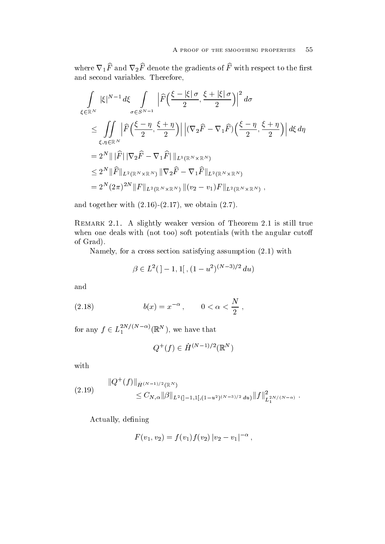where  $\nabla_1\widehat{F}$  and  $\nabla_2\widehat{F}$  denote the gradients of  $\widehat{F}$  with respect to the first and second variables. Therefore,

$$
\int_{\xi \in \mathbb{R}^N} |\xi|^{N-1} d\xi \int_{\sigma \in S^{N-1}} \left| \widehat{F}\left(\frac{\xi - |\xi| \sigma}{2}, \frac{\xi + |\xi| \sigma}{2}\right) \right|^2 d\sigma
$$
\n
$$
\leq \int_{\xi, \eta \in \mathbb{R}^N} \left| \widehat{F}\left(\frac{\xi - \eta}{2}, \frac{\xi + \eta}{2}\right) \right| \left| (\nabla_2 \widehat{F} - \nabla_1 \widehat{F}) \left(\frac{\xi - \eta}{2}, \frac{\xi + \eta}{2}\right) \right| d\xi d\eta
$$
\n
$$
= 2^N |||\widehat{F}|| |\nabla_2 \widehat{F} - \nabla_1 \widehat{F}| ||_{L^1(\mathbb{R}^N \times \mathbb{R}^N)}
$$
\n
$$
\leq 2^N ||\widehat{F}||_{L^2(\mathbb{R}^N \times \mathbb{R}^N)} ||\nabla_2 \widehat{F} - \nabla_1 \widehat{F}||_{L^2(\mathbb{R}^N \times \mathbb{R}^N)}
$$
\n
$$
= 2^N (2\pi)^{2N} ||F||_{L^2(\mathbb{R}^N \times \mathbb{R}^N)} ||(v_2 - v_1)F||_{L^2(\mathbb{R}^N \times \mathbb{R}^N)},
$$

and together with the state  $\mathcal{M}$  and the state  $\mathcal{M}$  and the state  $\mathcal{M}$ 

Remark - A slightly version of Theorem is still the still true of Theorem is still true to the still true of with the answers with the angular control of the angular cutoff potentials and angular cutoff cutoff cutoff cu of Grad

Namely for a cross section satisfying assumption with

$$
\beta \in L^2( ]-1,1[~,(1-u^2)^{(N-3)/2}~du)
$$

and

(2.18) 
$$
b(x) = x^{-\alpha}, \qquad 0 < \alpha < \frac{N}{2},
$$

for any  $f \in L_1^{-\cdots}$  ( $\mathbb{R}^N$ ), we have that

$$
Q^+(f) \in \dot{H}^{(N-1)/2}(\mathbb{R}^N)
$$

with

$$
(2.19) \t\t\t ||Q^+(f)||_{\dot{H}^{(N-1)/2}(\mathbb{R}^N)} \t\t\t\t\t\leq C_{N,\alpha} ||\beta||_{L^2([-1,1[,(1-u^2)^{(N-3)/2} du)} ||f||^2_{L^{2,N/(N-\alpha)}}.
$$

Actually, defining

$$
F(v_1, v_2) = f(v_1) f(v_2) |v_2 - v_1|^{-\alpha},
$$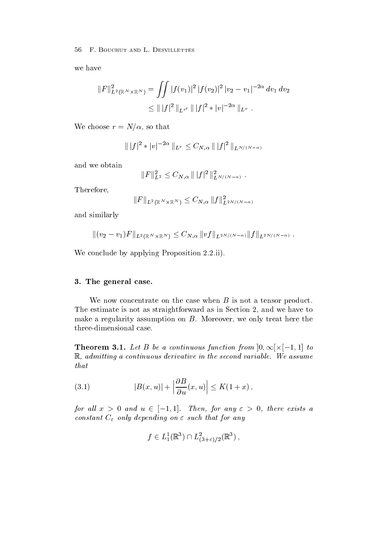we have

$$
||F||_{L^{2}(\mathbb{R}^{N}\times\mathbb{R}^{N})}^{2} = \iint |f(v_{1})|^{2} |f(v_{2})|^{2} |v_{2} - v_{1}|^{-2\alpha} dv_{1} dv_{2}
$$
  
 
$$
\leq || |f|^{2} ||_{L^{r'}} || |f|^{2} * |v|^{-2\alpha} ||_{L^{r}}.
$$

We choose  $r = N/\alpha$ , so that

$$
\| |f|^2 * |v|^{-2\alpha} \|_{L^r} \leq C_{N,\alpha} \| |f|^2 \|_{L^{N/(N-\alpha)}}
$$

and we obtain

$$
||F||_{L^2}^2 \leq C_{N,\alpha} ||f||^2 ||_{L^{N/(N-\alpha)}}^2.
$$

Therefore

$$
||F||_{L^{2}(\mathbb{R}^{N}\times\mathbb{R}^{N})}\leq C_{N,\alpha}||f||^{2}_{L^{2N/(N-\alpha)}}
$$

and similarly

$$
||(v_2 - v_1)F||_{L^2(\mathbb{R}^N \times \mathbb{R}^N)} \leq C_{N,\alpha} ||vf||_{L^{2N/(N-\alpha)}} ||f||_{L^{2N/(N-\alpha)}}.
$$

We conclude by applying Proposition 2.2.ii).

# 3. The general case.

We now concentrate on the case when  $B$  is not a tensor product. The estimate is not as straightforward as in Section 2, and we have to make a regularity assumption on  $B$ . Moreover, we only treat here the three-dimensional case.

**Theorem 3.1.** Let B be a continuous function from  $|0, \infty) \times |-1, 1|$  to R admitting a continuous derivative in the second variable- We assume that

(3.1) 
$$
|B(x,u)| + \left|\frac{\partial B}{\partial u}(x,u)\right| \le K(1+x),
$$

for all  $x > 0$  and  $u \in [-1, 1]$ . Then, for any  $\varepsilon > 0$ , there exists a constant C only depending that Forest that form any  $\sigma$ 

$$
f \in L^1_1(\mathbb{R}^3) \cap L^2_{(3+\varepsilon)/2}(\mathbb{R}^3) ,
$$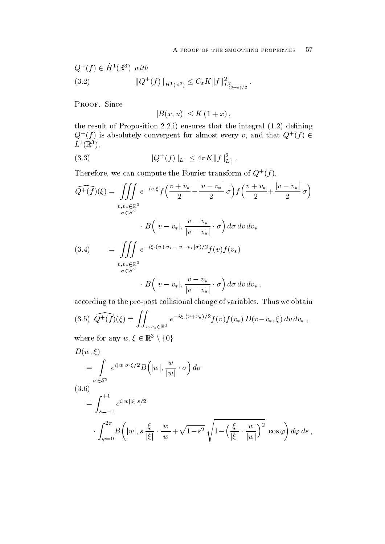$\ddot{\phantom{a}}$ 

$$
Q^{+}(f) \in \dot{H}^{1}(\mathbb{R}^{3}) \text{ with}
$$
  
(3.2) 
$$
||Q^{+}(f)||_{\dot{H}^{1}(\mathbb{R}^{3})} \leq C_{\varepsilon} K ||f||^{2}_{L^{2}_{(3+\varepsilon)/2}}.
$$

PROOF. Since

$$
|B(x, u)| \leq K (1 + x),
$$

the result of Proposition integral  $\mathcal{O}$  integral the integral  $\mathcal{O}$  integral the integral the integral to integral the integral to integral the integral to integral the integral to integral the integral to integral  $Q^{\dagger}(t)$  is absolutely convergent for almost every v, and that  $Q^{\dagger}(t) \in$  $L \parallel \mathbb{R} \parallel$ ,

(3.3) 
$$
||Q^+(f)||_{L^1} \le 4\pi K ||f||_{L_1^1}^2.
$$

**Therefore, we can compute the Fourier transform of**  $Q^+(I)$ **,** 

$$
\widehat{Q^+(f)}(\xi) = \iiint_{v,v_* \in \mathbb{R}^3} e^{-iv \cdot \xi} f\left(\frac{v+v_*}{2} - \frac{|v-v_*|}{2} \sigma\right) f\left(\frac{v+v_*}{2} + \frac{|v-v_*|}{2} \sigma\right)
$$
  

$$
\cdot B\left(|v-v_*|, \frac{v-v_*}{|v-v_*|} \cdot \sigma\right) d\sigma dv dv_*
$$
  
(3.4) 
$$
= \iiint_{v,v_* \in \mathbb{R}^3} e^{-i\xi \cdot (v+v_*-|v-v_*|\sigma)/2} f(v) f(v_*)
$$
  

$$
= \int_{v,v_* \in \mathbb{R}^3} e^{-i\xi \cdot (v+v_*-|v-v_*|\sigma)/2} f(v) f(v_*)
$$
  

$$
\cdot B\left(|v-v_*|, \frac{v-v_*}{|v-v_*|} \cdot \sigma\right) d\sigma dv dv_*,
$$

according to the pre-post collisional change of variables. Thus we obtain

$$
(3.5) \widehat{Q^+(f)}(\xi) = \iint_{v,v_* \in \mathbb{R}^3} e^{-i\xi \cdot (v+v_*)/2} f(v) f(v_*) D(v-v_*,\xi) dv dv_*,
$$

where for any  $w, \xi \in \mathbb{R}^3 \setminus \{0\}$ 

$$
D(w,\xi)
$$
  
= 
$$
\int_{\sigma \in S^2} e^{i|w|\sigma \cdot \xi/2} B(|w|, \frac{w}{|w|} \cdot \sigma) d\sigma
$$
  
= 
$$
\int_{s=-1}^{+1} e^{i|w||\xi|s/2}
$$
  

$$
\int_{\varphi=0}^{2\pi} B(|w|, s \frac{\xi}{|\xi|} \cdot \frac{w}{|w|} + \sqrt{1-s^2} \sqrt{1 - \left(\frac{\xi}{|\xi|} \cdot \frac{w}{|w|}\right)^2} \cos \varphi d\varphi ds,
$$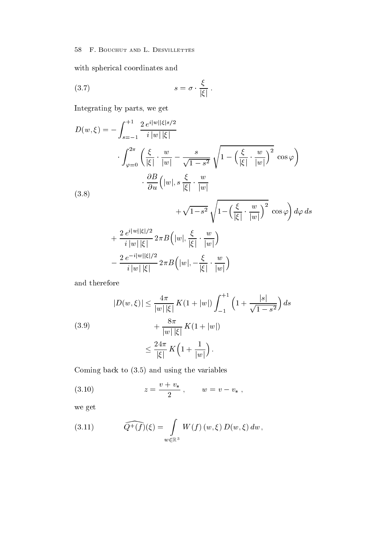with spherical coordinates and

$$
(3.7) \t\t s = \sigma \cdot \frac{\xi}{|\xi|} \ .
$$

Integrating by parts, we get

$$
D(w,\xi) = -\int_{s=-1}^{+1} \frac{2 e^{i|w||\xi|s/2}}{i|w||\xi|}
$$
  

$$
\int_{\varphi=0}^{2\pi} \left(\frac{\xi}{|\xi|} \cdot \frac{w}{|w|} - \frac{s}{\sqrt{1-s^2}} \sqrt{1 - \left(\frac{\xi}{|\xi|} \cdot \frac{w}{|w|}\right)^2} \cos \varphi\right)
$$
  

$$
\cdot \frac{\partial B}{\partial u} (|w|, s | \frac{\xi}{|\xi|} \cdot \frac{w}{|w|} + \sqrt{1 - s^2} \sqrt{1 - \left(\frac{\xi}{|\xi|} \cdot \frac{w}{|w|}\right)^2} \cos \varphi \right) d\varphi ds
$$
  

$$
+ \frac{2 e^{i|w||\xi|/2}}{i|w||\xi|} 2\pi B (|w|, \frac{\xi}{|\xi|} \cdot \frac{w}{|w|})
$$
  

$$
- \frac{2 e^{-i|w||\xi|/2}}{i|w||\xi|} 2\pi B (|w|, -\frac{\xi}{|\xi|} \cdot \frac{w}{|w|})
$$

and therefore

$$
|D(w,\xi)| \le \frac{4\pi}{|w||\xi|} K(1+|w|) \int_{-1}^{+1} \left(1 + \frac{|s|}{\sqrt{1-s^2}}\right) ds
$$
  
(3.9)  

$$
+ \frac{8\pi}{|w||\xi|} K(1+|w|)
$$
  

$$
\le \frac{24\pi}{|\xi|} K\left(1 + \frac{1}{|w|}\right).
$$

 $\blacksquare$  and using the variables to the variables to  $\blacksquare$ 

(3.10) 
$$
z = \frac{v + v_*}{2}, \qquad w = v - v_* ,
$$

we get

(3.11) 
$$
\widehat{Q^+(f)}(\xi) = \int_{w \in \mathbb{R}^3} W(f)(w,\xi) D(w,\xi) dw,
$$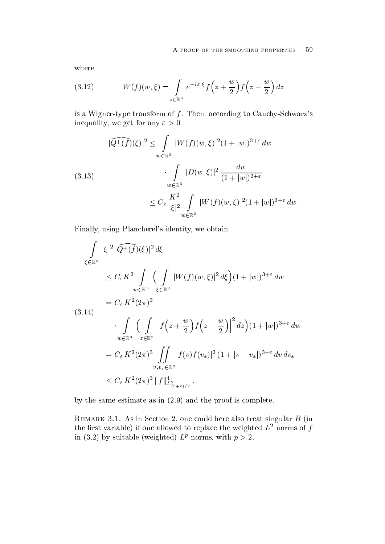where

(3.12) 
$$
W(f)(w,\xi) = \int_{z \in \mathbb{R}^3} e^{-iz \cdot \xi} f\left(z + \frac{w}{2}\right) f\left(z - \frac{w}{2}\right) dz
$$

is a Wigner transform of the transform of the form of the  $\alpha$ inequality, we get for any  $\varepsilon > 0$ 

$$
|\widehat{Q^+(f)}(\xi)|^2 \leq \int_{w \in \mathbb{R}^3} |W(f)(w,\xi)|^2 (1+|w|)^{3+\varepsilon} dw
$$
  
(3.13)  

$$
\int_{w \in \mathbb{R}^3} |D(w,\xi)|^2 \frac{dw}{(1+|w|)^{3+\varepsilon}}
$$
  

$$
\leq C_{\varepsilon} \frac{K^2}{|\xi|^2} \int_{w \in \mathbb{R}^3} |W(f)(w,\xi)|^2 (1+|w|)^{3+\varepsilon} dw.
$$

Finally using Plancherel-s identity we obtain

$$
\int_{\xi \in \mathbb{R}^3} |\xi|^2 |\widehat{Q^+(f)}(\xi)|^2 d\xi
$$
\n
$$
\leq C_{\varepsilon} K^2 \int_{w \in \mathbb{R}^3} \Big( \int_{\xi \in \mathbb{R}^3} |W(f)(w,\xi)|^2 d\xi \Big) (1+|w|)^{3+\varepsilon} dw
$$
\n
$$
= C_{\varepsilon} K^2 (2\pi)^3
$$
\n
$$
\int_{w \in \mathbb{R}^3} \Big( \int_{z \in \mathbb{R}^3} \left| f \left( z + \frac{w}{2} \right) f \left( z - \frac{w}{2} \right) \right|^2 dz \Big) (1+|w|)^{3+\varepsilon} dw
$$
\n
$$
= C_{\varepsilon} K^2 (2\pi)^3 \int_{v,v_* \in \mathbb{R}^3} |f(v)f(v_*)|^2 (1+|v-v_*|)^{3+\varepsilon} dv dv_*
$$
\n
$$
\leq C_{\varepsilon} K^2 (2\pi)^3 \|f\|_{L^2_{(3+\varepsilon)/2}}^4,
$$

by the same estimate as in the same estimate as in the proof is complete as in the proof is complete as in the

remarks the section of the could be also the court of the also treat singular B (section and  $\mathcal{L}$ the first variable) if one allowed to replace the weighted  $L^2$  norms of f in (5.2) by suitable (weighted)  $L^p$  norms, with  $p > 2$ .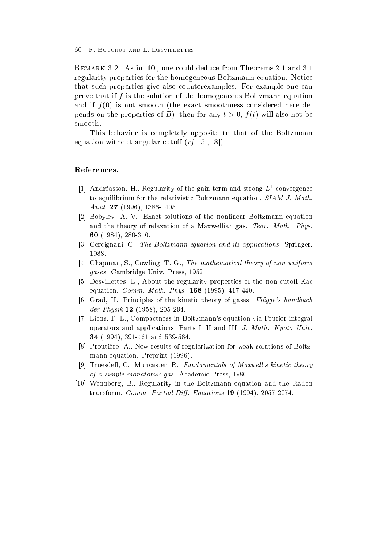Remark - As in 
one could deduce from Theorems and  regularity properties for the homogeneous Boltzmann equation Notice that such properties give also counterexamples. For example one can prove that if <sup>f</sup> is the solution of the homogeneous Boltzmann equation and if <sup>f</sup> is not smooth the exact smoothness considered here de  $p \sim 1$  and  $p \sim p$  or the  $p \sim 1$  then for any t  $p \sim 0$  t  $f(r)$  will also not be smooth

This behavior is completely opposite to that of the Boltzmann equation with angular cuto  $\ell_A$  and  $\ell_A$  and  $\ell_B$  and  $\ell_B$  and  $\ell_B$  and  $\ell_B$  and  $\ell_B$  and  $\ell_B$  and  $\ell_B$  and  $\ell_B$  and  $\ell_B$  and  $\ell_B$  and  $\ell_B$  and  $\ell_B$  and  $\ell_B$  and  $\ell_B$  and  $\ell_B$  and  $\ell_B$  and  $\ell_B$  and  $\ell_B$ 

### References

- [1] Andréasson, H., Regularity of the gain term and strong  $L^1$  convergence to equilibrium for the relativistic Boltzmann equation SIAM J- Math-Anal- -
- [2] Bobylev, A. V., Exact solutions of the nonlinear Boltzmann equation and the theory of relaxation of a Maxwellian gas Teor- Math- Phys-60 (1984), 280-310.
- Cercignani C The Boltzmann equation and its applications- Springer 1988.
- [4] Chapman, S., Cowling, T. G., The mathematical theory of non uniform gases- Cambridge Univ Press
- [5] Desvillettes, L., About the regularity properties of the non cutoff Kac equation commutes are more assigned and a physical property and a series are an analyzed and a series of the s
- Grad H Principles of the kinetic theory of gases Flugges handbuch der Physik 12 (1958), 205-294.
- - Lions PL Compactness in Boltzmanns equation via Fourier integral operators and appearance and I and I and I and I and I and I and I and I and I and I and I and I are Universit and the contract of the contract of the contract of the contract of the contract of the contract of the contract of the contract of the contract of the contract of the contract of the contract of the contract of the contra
- [8] Proutière, A., New results of regularization for weak solutions of Boltzmann equation Preprint present presents and present and present and present and present and present and present and present and present and present and present and present and present and present and present and present an
- [9] Truesdell, C., Muncaster, R., Fundamentals of Maxwell's kinetic theory of a simple monatomic gas- Academic Press
- [10] Wennberg, B., Regularity in the Boltzmann equation and the Radon transform Comm- Partial Di- Equations --